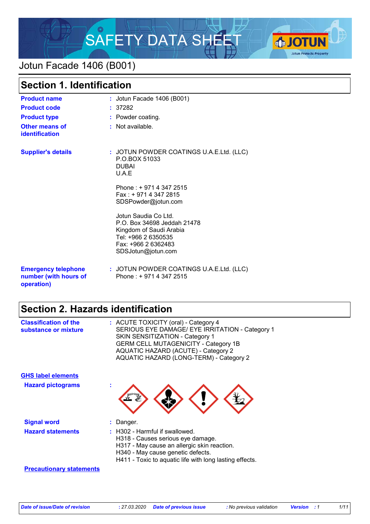

# Jotun Facade 1406 (B001)

| <b>Section 1. Identification</b>                                  |                                                                                                                                                    |  |
|-------------------------------------------------------------------|----------------------------------------------------------------------------------------------------------------------------------------------------|--|
| <b>Product name</b>                                               | : Jotun Facade 1406 (B001)                                                                                                                         |  |
| <b>Product code</b>                                               | : 37282                                                                                                                                            |  |
| <b>Product type</b>                                               | : Powder coating.                                                                                                                                  |  |
| <b>Other means of</b><br><b>identification</b>                    | : Not available.                                                                                                                                   |  |
| <b>Supplier's details</b>                                         | : JOTUN POWDER COATINGS U.A.E.Ltd. (LLC)<br>P.O.BOX 51033<br><b>DUBAI</b><br>U.A.E                                                                 |  |
|                                                                   | Phone: +9714 347 2515<br>Fax: +971 4 347 2815<br>SDSPowder@jotun.com                                                                               |  |
|                                                                   | Jotun Saudia Co Ltd.<br>P.O. Box 34698 Jeddah 21478<br>Kingdom of Saudi Arabia<br>Tel: +966 2 6350535<br>Fax: +966 2 6362483<br>SDSJotun@jotun.com |  |
| <b>Emergency telephone</b><br>number (with hours of<br>operation) | : JOTUN POWDER COATINGS U.A.E.Ltd. (LLC)<br>Phone: +9714 347 2515                                                                                  |  |

# **Section 2. Hazards identification**

| <b>Classification of the</b><br>substance or mixture | : ACUTE TOXICITY (oral) - Category 4<br>SERIOUS EYE DAMAGE/ EYE IRRITATION - Category 1<br><b>SKIN SENSITIZATION - Category 1</b><br><b>GERM CELL MUTAGENICITY - Category 1B</b><br>AQUATIC HAZARD (ACUTE) - Category 2<br>AQUATIC HAZARD (LONG-TERM) - Category 2 |
|------------------------------------------------------|--------------------------------------------------------------------------------------------------------------------------------------------------------------------------------------------------------------------------------------------------------------------|
| <b>GHS label elements</b>                            |                                                                                                                                                                                                                                                                    |
| <b>Hazard pictograms</b>                             | t                                                                                                                                                                                                                                                                  |
| <b>Signal word</b>                                   | Danger.                                                                                                                                                                                                                                                            |
| <b>Hazard statements</b>                             | $\pm$ H302 - Harmful if swallowed.<br>H318 - Causes serious eye damage.<br>H317 - May cause an allergic skin reaction.<br>H340 - May cause genetic defects.<br>H411 - Toxic to aquatic life with long lasting effects.                                             |
| <b>Precautionary statements</b>                      |                                                                                                                                                                                                                                                                    |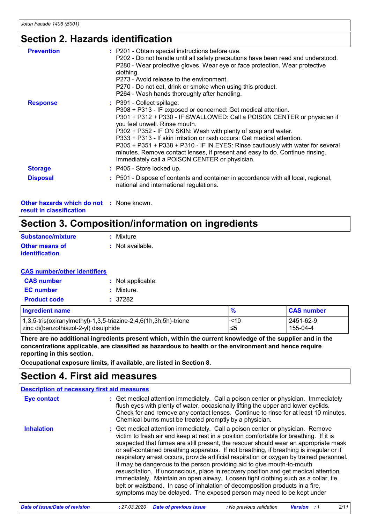# **Section 2. Hazards identification**

| <b>Prevention</b> | : P201 - Obtain special instructions before use.<br>P202 - Do not handle until all safety precautions have been read and understood.<br>P280 - Wear protective gloves. Wear eye or face protection. Wear protective<br>clothing.<br>P273 - Avoid release to the environment.<br>P270 - Do not eat, drink or smoke when using this product.<br>P264 - Wash hands thoroughly after handling.                                                                                                                                                                               |
|-------------------|--------------------------------------------------------------------------------------------------------------------------------------------------------------------------------------------------------------------------------------------------------------------------------------------------------------------------------------------------------------------------------------------------------------------------------------------------------------------------------------------------------------------------------------------------------------------------|
| <b>Response</b>   | : P391 - Collect spillage.<br>P308 + P313 - IF exposed or concerned: Get medical attention.<br>P301 + P312 + P330 - IF SWALLOWED: Call a POISON CENTER or physician if<br>you feel unwell. Rinse mouth.<br>P302 + P352 - IF ON SKIN: Wash with plenty of soap and water.<br>P333 + P313 - If skin irritation or rash occurs: Get medical attention.<br>P305 + P351 + P338 + P310 - IF IN EYES: Rinse cautiously with water for several<br>minutes. Remove contact lenses, if present and easy to do. Continue rinsing.<br>Immediately call a POISON CENTER or physician. |
| <b>Storage</b>    | : P405 - Store locked up.                                                                                                                                                                                                                                                                                                                                                                                                                                                                                                                                                |
| <b>Disposal</b>   | : P501 - Dispose of contents and container in accordance with all local, regional,<br>national and international regulations.                                                                                                                                                                                                                                                                                                                                                                                                                                            |

**Other hazards which do not :** None known. **result in classification**

## **Section 3. Composition/information on ingredients**

| Substance/mixture                       | : Mixture        |
|-----------------------------------------|------------------|
| <b>Other means of</b><br>identification | : Not available. |

### **CAS number/other identifiers**

| <b>CAS number</b>   | : Not applicable. |
|---------------------|-------------------|
| <b>EC</b> number    | : Mixture.        |
| <b>Product code</b> | : 37282           |

| Ingredient name                                                     | $\frac{9}{6}$ | <b>CAS number</b> |
|---------------------------------------------------------------------|---------------|-------------------|
| $1,3,5$ -tris(oxiranylmethyl)-1,3,5-triazine-2,4,6(1h,3h,5h)-trione | ~10           | 2451-62-9         |
| zinc di(benzothiazol-2-yl) disulphide                               | ≤5            | 155-04-4          |

**There are no additional ingredients present which, within the current knowledge of the supplier and in the concentrations applicable, are classified as hazardous to health or the environment and hence require reporting in this section.**

**Occupational exposure limits, if available, are listed in Section 8.**

### **Section 4. First aid measures**

| <b>Description of necessary first aid measures</b> |                                                                                                                                                                                                                                                                                                                                                                                                                                                                                                                                                                                                                                                                                                                                                                                                                                                                           |
|----------------------------------------------------|---------------------------------------------------------------------------------------------------------------------------------------------------------------------------------------------------------------------------------------------------------------------------------------------------------------------------------------------------------------------------------------------------------------------------------------------------------------------------------------------------------------------------------------------------------------------------------------------------------------------------------------------------------------------------------------------------------------------------------------------------------------------------------------------------------------------------------------------------------------------------|
| Eye contact                                        | : Get medical attention immediately. Call a poison center or physician. Immediately<br>flush eyes with plenty of water, occasionally lifting the upper and lower eyelids.<br>Check for and remove any contact lenses. Continue to rinse for at least 10 minutes.<br>Chemical burns must be treated promptly by a physician.                                                                                                                                                                                                                                                                                                                                                                                                                                                                                                                                               |
| <b>Inhalation</b>                                  | : Get medical attention immediately. Call a poison center or physician. Remove<br>victim to fresh air and keep at rest in a position comfortable for breathing. If it is<br>suspected that fumes are still present, the rescuer should wear an appropriate mask<br>or self-contained breathing apparatus. If not breathing, if breathing is irregular or if<br>respiratory arrest occurs, provide artificial respiration or oxygen by trained personnel.<br>It may be dangerous to the person providing aid to give mouth-to-mouth<br>resuscitation. If unconscious, place in recovery position and get medical attention<br>immediately. Maintain an open airway. Loosen tight clothing such as a collar, tie,<br>belt or waistband. In case of inhalation of decomposition products in a fire,<br>symptoms may be delayed. The exposed person may need to be kept under |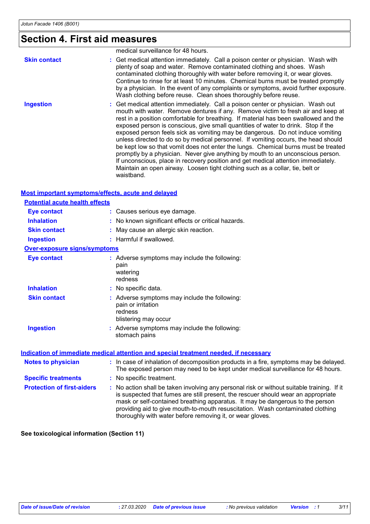# **Section 4. First aid measures**

|                     | medical surveillance for 48 hours.                                                                                                                                                                                                                                                                                                                                                                                                                                                                                                                                                                                                                                                                                                                                                                                                                                                     |
|---------------------|----------------------------------------------------------------------------------------------------------------------------------------------------------------------------------------------------------------------------------------------------------------------------------------------------------------------------------------------------------------------------------------------------------------------------------------------------------------------------------------------------------------------------------------------------------------------------------------------------------------------------------------------------------------------------------------------------------------------------------------------------------------------------------------------------------------------------------------------------------------------------------------|
| <b>Skin contact</b> | : Get medical attention immediately. Call a poison center or physician. Wash with<br>plenty of soap and water. Remove contaminated clothing and shoes. Wash<br>contaminated clothing thoroughly with water before removing it, or wear gloves.<br>Continue to rinse for at least 10 minutes. Chemical burns must be treated promptly<br>by a physician. In the event of any complaints or symptoms, avoid further exposure.<br>Wash clothing before reuse. Clean shoes thoroughly before reuse.                                                                                                                                                                                                                                                                                                                                                                                        |
| <b>Ingestion</b>    | : Get medical attention immediately. Call a poison center or physician. Wash out<br>mouth with water. Remove dentures if any. Remove victim to fresh air and keep at<br>rest in a position comfortable for breathing. If material has been swallowed and the<br>exposed person is conscious, give small quantities of water to drink. Stop if the<br>exposed person feels sick as vomiting may be dangerous. Do not induce vomiting<br>unless directed to do so by medical personnel. If vomiting occurs, the head should<br>be kept low so that vomit does not enter the lungs. Chemical burns must be treated<br>promptly by a physician. Never give anything by mouth to an unconscious person.<br>If unconscious, place in recovery position and get medical attention immediately.<br>Maintain an open airway. Loosen tight clothing such as a collar, tie, belt or<br>waistband. |

### **Most important symptoms/effects, acute and delayed**

| <b>Potential acute health effects</b> |                                                                                                                                                                                                                                                                                                                                                                                                                 |
|---------------------------------------|-----------------------------------------------------------------------------------------------------------------------------------------------------------------------------------------------------------------------------------------------------------------------------------------------------------------------------------------------------------------------------------------------------------------|
| <b>Eye contact</b>                    | : Causes serious eye damage.                                                                                                                                                                                                                                                                                                                                                                                    |
| <b>Inhalation</b>                     | : No known significant effects or critical hazards.                                                                                                                                                                                                                                                                                                                                                             |
| <b>Skin contact</b>                   | : May cause an allergic skin reaction.                                                                                                                                                                                                                                                                                                                                                                          |
| <b>Ingestion</b>                      | : Harmful if swallowed.                                                                                                                                                                                                                                                                                                                                                                                         |
| <b>Over-exposure signs/symptoms</b>   |                                                                                                                                                                                                                                                                                                                                                                                                                 |
| <b>Eye contact</b>                    | : Adverse symptoms may include the following:<br>pain<br>watering<br>redness                                                                                                                                                                                                                                                                                                                                    |
| <b>Inhalation</b>                     | : No specific data.                                                                                                                                                                                                                                                                                                                                                                                             |
| <b>Skin contact</b>                   | : Adverse symptoms may include the following:<br>pain or irritation<br>redness<br>blistering may occur                                                                                                                                                                                                                                                                                                          |
| <b>Ingestion</b>                      | : Adverse symptoms may include the following:<br>stomach pains                                                                                                                                                                                                                                                                                                                                                  |
|                                       | Indication of immediate medical attention and special treatment needed, if necessary                                                                                                                                                                                                                                                                                                                            |
| <b>Notes to physician</b>             | : In case of inhalation of decomposition products in a fire, symptoms may be delayed.<br>The exposed person may need to be kept under medical surveillance for 48 hours.                                                                                                                                                                                                                                        |
| <b>Specific treatments</b>            | : No specific treatment.                                                                                                                                                                                                                                                                                                                                                                                        |
| <b>Protection of first-aiders</b>     | : No action shall be taken involving any personal risk or without suitable training. If it<br>is suspected that fumes are still present, the rescuer should wear an appropriate<br>mask or self-contained breathing apparatus. It may be dangerous to the person<br>providing aid to give mouth-to-mouth resuscitation. Wash contaminated clothing<br>thoroughly with water before removing it, or wear gloves. |

**See toxicological information (Section 11)**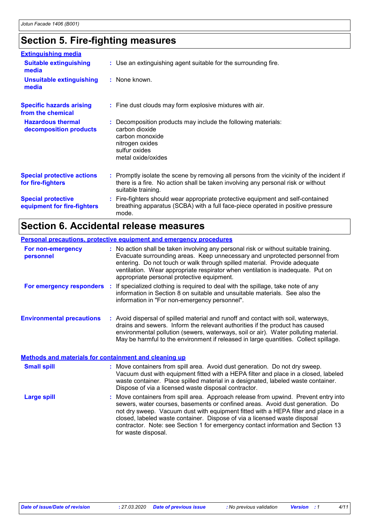# **Section 5. Fire-fighting measures**

| <b>Extinguishing media</b>                               |                                                                                                                                                                                                     |
|----------------------------------------------------------|-----------------------------------------------------------------------------------------------------------------------------------------------------------------------------------------------------|
| <b>Suitable extinguishing</b><br>media                   | : Use an extinguishing agent suitable for the surrounding fire.                                                                                                                                     |
| <b>Unsuitable extinguishing</b><br>media                 | : None known.                                                                                                                                                                                       |
| <b>Specific hazards arising</b><br>from the chemical     | : Fine dust clouds may form explosive mixtures with air.                                                                                                                                            |
| <b>Hazardous thermal</b><br>decomposition products       | Decomposition products may include the following materials:<br>carbon dioxide<br>carbon monoxide<br>nitrogen oxides<br>sulfur oxides<br>metal oxide/oxides                                          |
| <b>Special protective actions</b><br>for fire-fighters   | : Promptly isolate the scene by removing all persons from the vicinity of the incident if<br>there is a fire. No action shall be taken involving any personal risk or without<br>suitable training. |
| <b>Special protective</b><br>equipment for fire-fighters | : Fire-fighters should wear appropriate protective equipment and self-contained<br>breathing apparatus (SCBA) with a full face-piece operated in positive pressure<br>mode.                         |

# **Section 6. Accidental release measures**

|                                                              | <b>Personal precautions, protective equipment and emergency procedures</b>                                                                                                                                                                                                                                                                                                        |
|--------------------------------------------------------------|-----------------------------------------------------------------------------------------------------------------------------------------------------------------------------------------------------------------------------------------------------------------------------------------------------------------------------------------------------------------------------------|
| For non-emergency<br>personnel                               | : No action shall be taken involving any personal risk or without suitable training.<br>Evacuate surrounding areas. Keep unnecessary and unprotected personnel from<br>entering. Do not touch or walk through spilled material. Provide adequate<br>ventilation. Wear appropriate respirator when ventilation is inadequate. Put on<br>appropriate personal protective equipment. |
| For emergency responders                                     | : If specialized clothing is required to deal with the spillage, take note of any<br>information in Section 8 on suitable and unsuitable materials. See also the<br>information in "For non-emergency personnel".                                                                                                                                                                 |
| <b>Environmental precautions</b>                             | : Avoid dispersal of spilled material and runoff and contact with soil, waterways,<br>drains and sewers. Inform the relevant authorities if the product has caused<br>environmental pollution (sewers, waterways, soil or air). Water polluting material.<br>May be harmful to the environment if released in large quantities. Collect spillage.                                 |
| <b>Methods and materials for containment and cleaning up</b> |                                                                                                                                                                                                                                                                                                                                                                                   |

| <b>Small spill</b> | : Move containers from spill area. Avoid dust generation. Do not dry sweep.<br>Vacuum dust with equipment fitted with a HEPA filter and place in a closed, labeled<br>waste container. Place spilled material in a designated, labeled waste container.<br>Dispose of via a licensed waste disposal contractor.                                                                                                                                    |
|--------------------|----------------------------------------------------------------------------------------------------------------------------------------------------------------------------------------------------------------------------------------------------------------------------------------------------------------------------------------------------------------------------------------------------------------------------------------------------|
| <b>Large spill</b> | : Move containers from spill area. Approach release from upwind. Prevent entry into<br>sewers, water courses, basements or confined areas. Avoid dust generation. Do<br>not dry sweep. Vacuum dust with equipment fitted with a HEPA filter and place in a<br>closed, labeled waste container. Dispose of via a licensed waste disposal<br>contractor. Note: see Section 1 for emergency contact information and Section 13<br>for waste disposal. |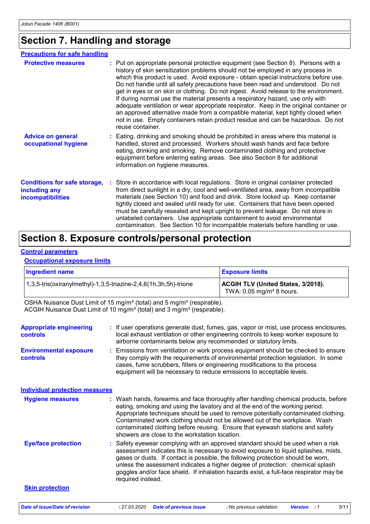# **Section 7. Handling and storage**

| <b>Precautions for safe handling</b>                                      |                                                                                                                                                                                                                                                                                                                                                                                                                                                                                                                                                                                                                                                                                                                                                                                                                    |
|---------------------------------------------------------------------------|--------------------------------------------------------------------------------------------------------------------------------------------------------------------------------------------------------------------------------------------------------------------------------------------------------------------------------------------------------------------------------------------------------------------------------------------------------------------------------------------------------------------------------------------------------------------------------------------------------------------------------------------------------------------------------------------------------------------------------------------------------------------------------------------------------------------|
| <b>Protective measures</b>                                                | : Put on appropriate personal protective equipment (see Section 8). Persons with a<br>history of skin sensitization problems should not be employed in any process in<br>which this product is used. Avoid exposure - obtain special instructions before use.<br>Do not handle until all safety precautions have been read and understood. Do not<br>get in eyes or on skin or clothing. Do not ingest. Avoid release to the environment.<br>If during normal use the material presents a respiratory hazard, use only with<br>adequate ventilation or wear appropriate respirator. Keep in the original container or<br>an approved alternative made from a compatible material, kept tightly closed when<br>not in use. Empty containers retain product residue and can be hazardous. Do not<br>reuse container. |
| <b>Advice on general</b><br>occupational hygiene                          | : Eating, drinking and smoking should be prohibited in areas where this material is<br>handled, stored and processed. Workers should wash hands and face before<br>eating, drinking and smoking. Remove contaminated clothing and protective<br>equipment before entering eating areas. See also Section 8 for additional<br>information on hygiene measures.                                                                                                                                                                                                                                                                                                                                                                                                                                                      |
| <b>Conditions for safe storage,</b><br>including any<br>incompatibilities | Store in accordance with local regulations. Store in original container protected<br>from direct sunlight in a dry, cool and well-ventilated area, away from incompatible<br>materials (see Section 10) and food and drink. Store locked up. Keep container<br>tightly closed and sealed until ready for use. Containers that have been opened<br>must be carefully resealed and kept upright to prevent leakage. Do not store in<br>unlabeled containers. Use appropriate containment to avoid environmental<br>contamination. See Section 10 for incompatible materials before handling or use.                                                                                                                                                                                                                  |

## **Section 8. Exposure controls/personal protection**

#### **Control parameters**

#### **Occupational exposure limits**

| <b>Ingredient name</b>                                              | <b>Exposure limits</b>                                                              |
|---------------------------------------------------------------------|-------------------------------------------------------------------------------------|
| $1,3,5$ -tris(oxiranylmethyl)-1,3,5-triazine-2,4,6(1h,3h,5h)-trione | <b>ACGIH TLV (United States, 3/2018).</b><br>TWA: $0.05$ mg/m <sup>3</sup> 8 hours. |

OSHA Nuisance Dust Limit of 15 mg/m<sup>3</sup> (total) and 5 mg/m<sup>3</sup> (respirable). ACGIH Nuisance Dust Limit of 10 mg/m<sup>3</sup> (total) and 3 mg/m<sup>3</sup> (respirable).

| <b>Appropriate engineering</b><br>controls | : If user operations generate dust, fumes, gas, vapor or mist, use process enclosures,<br>local exhaust ventilation or other engineering controls to keep worker exposure to<br>airborne contaminants below any recommended or statutory limits.                                                                                                                                                                                                                            |
|--------------------------------------------|-----------------------------------------------------------------------------------------------------------------------------------------------------------------------------------------------------------------------------------------------------------------------------------------------------------------------------------------------------------------------------------------------------------------------------------------------------------------------------|
| <b>Environmental exposure</b><br>controls  | : Emissions from ventilation or work process equipment should be checked to ensure<br>they comply with the requirements of environmental protection legislation. In some<br>cases, fume scrubbers, filters or engineering modifications to the process<br>equipment will be necessary to reduce emissions to acceptable levels.                                                                                                                                             |
| <b>Individual protection measures</b>      |                                                                                                                                                                                                                                                                                                                                                                                                                                                                             |
| <b>Hygiene measures</b>                    | : Wash hands, forearms and face thoroughly after handling chemical products, before<br>eating, smoking and using the lavatory and at the end of the working period.<br>Appropriate techniques should be used to remove potentially contaminated clothing.<br>Contaminated work clothing should not be allowed out of the workplace. Wash<br>contaminated clothing before reusing. Ensure that eyewash stations and safety<br>showers are close to the workstation location. |
| <b>Eye/face protection</b>                 | : Safety eyewear complying with an approved standard should be used when a risk<br>assessment indicates this is necessary to avoid exposure to liquid splashes, mists,<br>gases or dusts. If contact is possible, the following protection should be worn,<br>unless the assessment indicates a higher degree of protection: chemical splash<br>goggles and/or face shield. If inhalation hazards exist, a full-face respirator may be<br>required instead.                 |
| <b>Skin protection</b>                     |                                                                                                                                                                                                                                                                                                                                                                                                                                                                             |
| <b>Date of issue/Date of revision</b>      | : 27.03.2020<br><b>Date of previous issue</b><br>5/11<br>: No previous validation<br><b>Version</b> : 1                                                                                                                                                                                                                                                                                                                                                                     |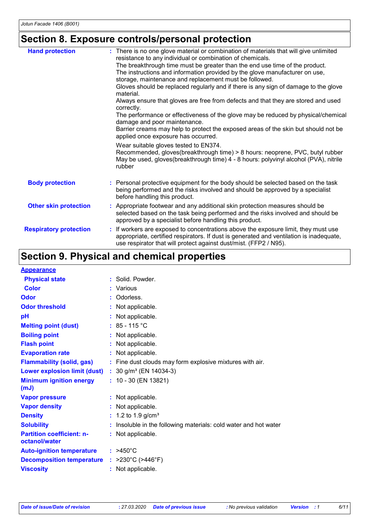# **Section 8. Exposure controls/personal protection**

| <b>Hand protection</b>        | : There is no one glove material or combination of materials that will give unlimited<br>resistance to any individual or combination of chemicals.<br>The breakthrough time must be greater than the end use time of the product.<br>The instructions and information provided by the glove manufacturer on use,<br>storage, maintenance and replacement must be followed.<br>Gloves should be replaced regularly and if there is any sign of damage to the glove<br>material.<br>Always ensure that gloves are free from defects and that they are stored and used<br>correctly.<br>The performance or effectiveness of the glove may be reduced by physical/chemical<br>damage and poor maintenance.<br>Barrier creams may help to protect the exposed areas of the skin but should not be<br>applied once exposure has occurred.<br>Wear suitable gloves tested to EN374.<br>Recommended, gloves(breakthrough time) > 8 hours: neoprene, PVC, butyl rubber<br>May be used, gloves(breakthrough time) 4 - 8 hours: polyvinyl alcohol (PVA), nitrile<br>rubber |
|-------------------------------|-----------------------------------------------------------------------------------------------------------------------------------------------------------------------------------------------------------------------------------------------------------------------------------------------------------------------------------------------------------------------------------------------------------------------------------------------------------------------------------------------------------------------------------------------------------------------------------------------------------------------------------------------------------------------------------------------------------------------------------------------------------------------------------------------------------------------------------------------------------------------------------------------------------------------------------------------------------------------------------------------------------------------------------------------------------------|
| <b>Body protection</b>        | : Personal protective equipment for the body should be selected based on the task<br>being performed and the risks involved and should be approved by a specialist<br>before handling this product.                                                                                                                                                                                                                                                                                                                                                                                                                                                                                                                                                                                                                                                                                                                                                                                                                                                             |
| <b>Other skin protection</b>  | : Appropriate footwear and any additional skin protection measures should be<br>selected based on the task being performed and the risks involved and should be<br>approved by a specialist before handling this product.                                                                                                                                                                                                                                                                                                                                                                                                                                                                                                                                                                                                                                                                                                                                                                                                                                       |
| <b>Respiratory protection</b> | : If workers are exposed to concentrations above the exposure limit, they must use<br>appropriate, certified respirators. If dust is generated and ventilation is inadequate,<br>use respirator that will protect against dust/mist. (FFP2 / N95).                                                                                                                                                                                                                                                                                                                                                                                                                                                                                                                                                                                                                                                                                                                                                                                                              |

# **Section 9. Physical and chemical properties**

| <b>Appearance</b>                                 |                                                                |
|---------------------------------------------------|----------------------------------------------------------------|
| <b>Physical state</b>                             | : Solid. Powder.                                               |
| <b>Color</b>                                      | : Various                                                      |
| <b>Odor</b>                                       | Odorless.                                                      |
| <b>Odor threshold</b>                             | : Not applicable.                                              |
| pH                                                | : Not applicable.                                              |
| <b>Melting point (dust)</b>                       | : $85 - 115$ °C                                                |
| <b>Boiling point</b>                              | : Not applicable.                                              |
| <b>Flash point</b>                                | : Not applicable.                                              |
| <b>Evaporation rate</b>                           | : Not applicable.                                              |
| <b>Flammability (solid, gas)</b>                  | : Fine dust clouds may form explosive mixtures with air.       |
| <b>Lower explosion limit (dust)</b>               | : $30$ g/m <sup>3</sup> (EN 14034-3)                           |
| <b>Minimum ignition energy</b><br>(mJ)            | $: 10 - 30$ (EN 13821)                                         |
| <b>Vapor pressure</b>                             | : Not applicable.                                              |
| <b>Vapor density</b>                              | : Not applicable.                                              |
| <b>Density</b>                                    | : 1.2 to 1.9 g/cm <sup>3</sup>                                 |
| <b>Solubility</b>                                 | Insoluble in the following materials: cold water and hot water |
| <b>Partition coefficient: n-</b><br>octanol/water | : Not applicable.                                              |
| <b>Auto-ignition temperature</b>                  | $:$ >450°C                                                     |
| <b>Decomposition temperature</b>                  | : $>230^{\circ}$ C ( $>446^{\circ}$ F)                         |
| <b>Viscosity</b>                                  | : Not applicable.                                              |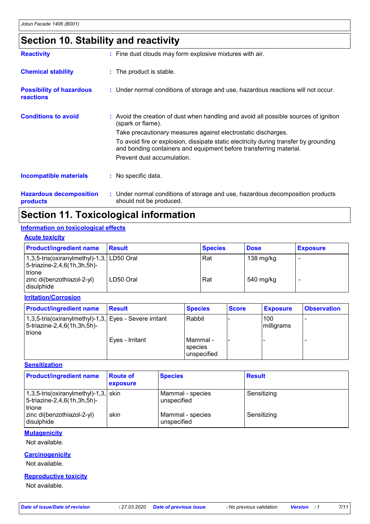# **Section 10. Stability and reactivity**

| <b>Reactivity</b>                            | : Fine dust clouds may form explosive mixtures with air.                                                                                                    |
|----------------------------------------------|-------------------------------------------------------------------------------------------------------------------------------------------------------------|
| <b>Chemical stability</b>                    | : The product is stable.                                                                                                                                    |
| <b>Possibility of hazardous</b><br>reactions | : Under normal conditions of storage and use, hazardous reactions will not occur.                                                                           |
| <b>Conditions to avoid</b>                   | : Avoid the creation of dust when handling and avoid all possible sources of ignition<br>(spark or flame).                                                  |
|                                              | Take precautionary measures against electrostatic discharges.                                                                                               |
|                                              | To avoid fire or explosion, dissipate static electricity during transfer by grounding<br>and bonding containers and equipment before transferring material. |
|                                              | Prevent dust accumulation.                                                                                                                                  |
| <b>Incompatible materials</b>                | : No specific data.                                                                                                                                         |
| <b>Hazardous decomposition</b>               | : Under normal conditions of storage and use, hazardous decomposition products                                                                              |

**products**

should not be produced.

# **Section 11. Toxicological information**

### **Information on toxicological effects**

| <b>Acute toxicity</b>                                                                 |               |                |             |                 |  |
|---------------------------------------------------------------------------------------|---------------|----------------|-------------|-----------------|--|
| <b>Product/ingredient name</b>                                                        | <b>Result</b> | <b>Species</b> | <b>Dose</b> | <b>Exposure</b> |  |
| $1,3,5$ -tris(oxiranylmethyl)-1,3, LD50 Oral<br>5-triazine-2,4,6(1h,3h,5h)-<br>trione |               | Rat            | 138 mg/kg   |                 |  |
| zinc di(benzothiazol-2-yl)<br>disulphide                                              | LD50 Oral     | Rat            | 540 mg/kg   |                 |  |

### **Irritation/Corrosion**

| <b>Product/ingredient name</b>                                                                            | <b>Result</b>   | <b>Species</b>                       | <b>Score</b> | <b>Exposure</b>   | <b>Observation</b> |
|-----------------------------------------------------------------------------------------------------------|-----------------|--------------------------------------|--------------|-------------------|--------------------|
| 1,3,5-tris(oxiranylmethyl)-1,3, Eyes - Severe irritant<br>$ 5\text{-}triazine-2,4,6(1h,3h,5h)-$<br>trione |                 | Rabbit                               |              | 100<br>milligrams |                    |
|                                                                                                           | Eyes - Irritant | l Mammal -<br>species<br>unspecified |              |                   |                    |

### **Sensitization**

| <b>Product/ingredient name</b>                                                   | <b>Route of</b><br>exposure | <b>Species</b>                  | <b>Result</b> |
|----------------------------------------------------------------------------------|-----------------------------|---------------------------------|---------------|
| $1,3,5$ -tris(oxiranylmethyl)-1,3, skin<br>5-triazine-2,4,6(1h,3h,5h)-<br>trione |                             | Mammal - species<br>unspecified | Sensitizing   |
| zinc di(benzothiazol-2-yl)<br>l disulphide                                       | skin                        | Mammal - species<br>unspecified | Sensitizing   |

### **Mutagenicity**

Not available.

### **Carcinogenicity**

Not available.

### **Reproductive toxicity**

Not available.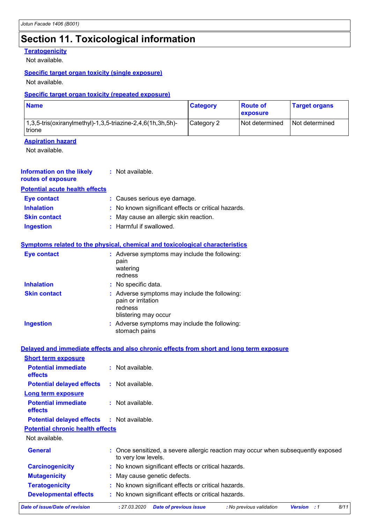# **Section 11. Toxicological information**

### **Teratogenicity**

Not available.

### **Specific target organ toxicity (single exposure)**

Not available.

### **Specific target organ toxicity (repeated exposure)**

| <b>Name</b>                                                             | <b>Category</b> | <b>Route of</b><br><b>Lexposure</b> | ∣ Target organs |
|-------------------------------------------------------------------------|-----------------|-------------------------------------|-----------------|
| $1,3,5$ -tris(oxiranylmethyl)-1,3,5-triazine-2,4,6(1h,3h,5h)-<br>trione | Category 2      | Not determined                      | Not determined  |

### **Aspiration hazard**

Not available.

| Information on the likely<br>routes of exposure | : Not available.                                                                                       |
|-------------------------------------------------|--------------------------------------------------------------------------------------------------------|
| <b>Potential acute health effects</b>           |                                                                                                        |
| <b>Eye contact</b>                              | : Causes serious eye damage.                                                                           |
| <b>Inhalation</b>                               | : No known significant effects or critical hazards.                                                    |
| <b>Skin contact</b>                             | : May cause an allergic skin reaction.                                                                 |
| <b>Ingestion</b>                                | : Harmful if swallowed.                                                                                |
|                                                 | <b>Symptoms related to the physical, chemical and toxicological characteristics</b>                    |
| <b>Eye contact</b>                              | : Adverse symptoms may include the following:<br>pain<br>watering<br>redness                           |
| <b>Inhalation</b>                               | : No specific data.                                                                                    |
| <b>Skin contact</b>                             | : Adverse symptoms may include the following:<br>pain or irritation<br>redness<br>blistering may occur |
| <b>Ingestion</b>                                | : Adverse symptoms may include the following:<br>stomach pains                                         |
|                                                 | Delayed and immediate effects and also chronic effects from short and long term exposure               |

|                                                                     | <u>Delayed and immediate enects and also embrile enects from short and fong term exposure</u>              |
|---------------------------------------------------------------------|------------------------------------------------------------------------------------------------------------|
| <b>Short term exposure</b><br><b>Potential immediate</b><br>effects | $:$ Not available.                                                                                         |
| <b>Potential delayed effects</b>                                    | $:$ Not available.                                                                                         |
| Long term exposure                                                  |                                                                                                            |
| <b>Potential immediate</b><br><b>effects</b>                        | $:$ Not available.                                                                                         |
| <b>Potential delayed effects</b>                                    | : Not available.                                                                                           |
| <b>Potential chronic health effects</b>                             |                                                                                                            |
| Not available.                                                      |                                                                                                            |
| <b>General</b>                                                      | : Once sensitized, a severe allergic reaction may occur when subsequently exposed<br>to very low levels.   |
| <b>Carcinogenicity</b>                                              | : No known significant effects or critical hazards.                                                        |
| <b>Mutagenicity</b>                                                 | : May cause genetic defects.                                                                               |
| <b>Teratogenicity</b>                                               | : No known significant effects or critical hazards.                                                        |
| <b>Developmental effects</b>                                        | : No known significant effects or critical hazards.                                                        |
| Date of issue/Date of revision                                      | 8/11<br>: 27.03.2020<br><b>Date of previous issue</b><br>: No previous validation<br><b>Version</b><br>: 1 |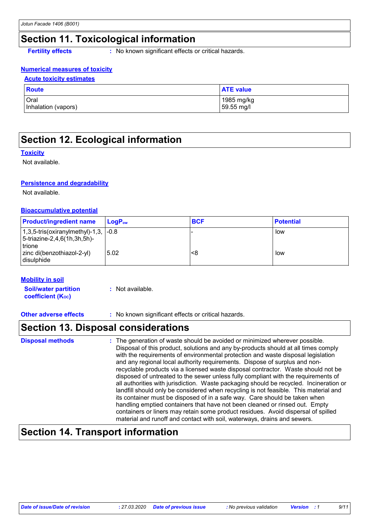# **Section 11. Toxicological information**

**Fertility effects** : No known significant effects or critical hazards.

### **Numerical measures of toxicity**

### **Acute toxicity estimates**

| Route               | <b>ATE value</b> |
|---------------------|------------------|
| Oral                | 1985 mg/kg       |
| Inhalation (vapors) | 59.55 mg/l       |

# **Section 12. Ecological information**

### **Toxicity**

Not available.

### **Persistence and degradability**

Not available.

### **Bioaccumulative potential**

| <b>Product/ingredient name</b>                                                             | ⊺LoɑP <sub>ow</sub> | <b>BCF</b> | <b>Potential</b> |
|--------------------------------------------------------------------------------------------|---------------------|------------|------------------|
| $(1,3,5\text{-tris}(oxiranylmethyl)-1,3, -0.8)$<br>5-triazine-2,4,6(1h,3h,5h)-<br>l trione |                     |            | low              |
| zinc di(benzothiazol-2-yl)<br>l disulphide                                                 | 5.02                | <8         | low              |

### **Mobility in soil**

**Soil/water partition coefficient (K**<sup>oc</sup>) **:** Not available.

**Other adverse effects** : No known significant effects or critical hazards.

### **Section 13. Disposal considerations**

| <b>Disposal methods</b> | : The generation of waste should be avoided or minimized wherever possible.<br>Disposal of this product, solutions and any by-products should at all times comply<br>with the requirements of environmental protection and waste disposal legislation<br>and any regional local authority requirements. Dispose of surplus and non-<br>recyclable products via a licensed waste disposal contractor. Waste should not be<br>disposed of untreated to the sewer unless fully compliant with the requirements of<br>all authorities with jurisdiction. Waste packaging should be recycled. Incineration or<br>landfill should only be considered when recycling is not feasible. This material and<br>its container must be disposed of in a safe way. Care should be taken when<br>handling emptied containers that have not been cleaned or rinsed out. Empty<br>containers or liners may retain some product residues. Avoid dispersal of spilled |
|-------------------------|----------------------------------------------------------------------------------------------------------------------------------------------------------------------------------------------------------------------------------------------------------------------------------------------------------------------------------------------------------------------------------------------------------------------------------------------------------------------------------------------------------------------------------------------------------------------------------------------------------------------------------------------------------------------------------------------------------------------------------------------------------------------------------------------------------------------------------------------------------------------------------------------------------------------------------------------------|
|                         | material and runoff and contact with soil, waterways, drains and sewers.                                                                                                                                                                                                                                                                                                                                                                                                                                                                                                                                                                                                                                                                                                                                                                                                                                                                           |

## **Section 14. Transport information**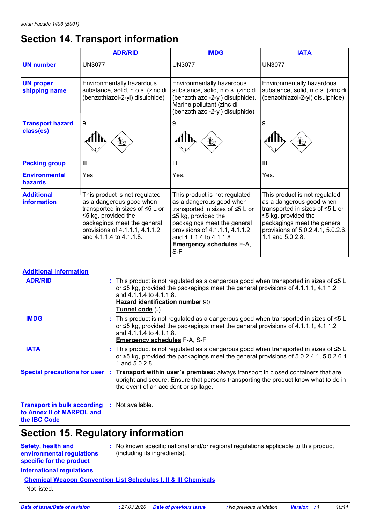# **Section 14. Transport information**

|                                      | <b>ADR/RID</b>                                                                                                                                                                                                        | <b>IMDG</b>                                                                                                                                                                                                                                                     | <b>IATA</b>                                                                                                                                                                                                       |
|--------------------------------------|-----------------------------------------------------------------------------------------------------------------------------------------------------------------------------------------------------------------------|-----------------------------------------------------------------------------------------------------------------------------------------------------------------------------------------------------------------------------------------------------------------|-------------------------------------------------------------------------------------------------------------------------------------------------------------------------------------------------------------------|
| <b>UN number</b>                     | <b>UN3077</b>                                                                                                                                                                                                         | <b>UN3077</b>                                                                                                                                                                                                                                                   | <b>UN3077</b>                                                                                                                                                                                                     |
| <b>UN proper</b><br>shipping name    | Environmentally hazardous<br>substance, solid, n.o.s. (zinc di<br>(benzothiazol-2-yl) disulphide)                                                                                                                     | Environmentally hazardous<br>substance, solid, n.o.s. (zinc di<br>(benzothiazol-2-yl) disulphide).<br>Marine pollutant (zinc di<br>(benzothiazol-2-yl) disulphide)                                                                                              | Environmentally hazardous<br>substance, solid, n.o.s. (zinc di<br>(benzothiazol-2-yl) disulphide)                                                                                                                 |
| <b>Transport hazard</b><br>class(es) | 9                                                                                                                                                                                                                     | 9                                                                                                                                                                                                                                                               | 9                                                                                                                                                                                                                 |
| <b>Packing group</b>                 | Ш                                                                                                                                                                                                                     | III                                                                                                                                                                                                                                                             | III                                                                                                                                                                                                               |
| <b>Environmental</b><br>hazards      | Yes.                                                                                                                                                                                                                  | Yes.                                                                                                                                                                                                                                                            | Yes.                                                                                                                                                                                                              |
| <b>Additional</b><br>information     | This product is not regulated<br>as a dangerous good when<br>transported in sizes of ≤5 L or<br>$\leq$ 5 kg, provided the<br>packagings meet the general<br>provisions of 4.1.1.1, 4.1.1.2<br>and 4.1.1.4 to 4.1.1.8. | This product is not regulated<br>as a dangerous good when<br>transported in sizes of ≤5 L or<br>$\leq$ 5 kg, provided the<br>packagings meet the general<br>provisions of 4.1.1.1, 4.1.1.2<br>and 4.1.1.4 to 4.1.1.8.<br><b>Emergency schedules F-A,</b><br>S-F | This product is not regulated<br>as a dangerous good when<br>transported in sizes of ≤5 L or<br>$\leq$ 5 kg, provided the<br>packagings meet the general<br>provisions of 5.0.2.4.1, 5.0.2.6.<br>1.1 and 5.0.2.8. |

| <b>Additional information</b>                                                    |                                                                                                                                                                                                                                                                          |
|----------------------------------------------------------------------------------|--------------------------------------------------------------------------------------------------------------------------------------------------------------------------------------------------------------------------------------------------------------------------|
| <b>ADR/RID</b>                                                                   | : This product is not regulated as a dangerous good when transported in sizes of ≤5 L<br>or $\leq$ 5 kg, provided the packagings meet the general provisions of 4.1.1.1, 4.1.1.2<br>and 4.1.1.4 to 4.1.1.8.<br><b>Hazard identification number 90</b><br>Tunnel code (-) |
| <b>IMDG</b>                                                                      | : This product is not regulated as a dangerous good when transported in sizes of ≤5 L<br>or $\leq$ 5 kg, provided the packagings meet the general provisions of 4.1.1.1, 4.1.1.2<br>and 4.1.1.4 to 4.1.1.8.<br><b>Emergency schedules F-A, S-F</b>                       |
| <b>IATA</b>                                                                      | : This product is not regulated as a dangerous good when transported in sizes of $\leq 5$ L<br>or $\leq$ 5 kg, provided the packagings meet the general provisions of 5.0.2.4.1, 5.0.2.6.1.<br>1 and 5.0.2.8.                                                            |
|                                                                                  | Special precautions for user : Transport within user's premises: always transport in closed containers that are<br>upright and secure. Ensure that persons transporting the product know what to do in<br>the event of an accident or spillage.                          |
| <b>Transport in bulk according : Not available.</b><br>to Annex II of MARPOL and |                                                                                                                                                                                                                                                                          |

**the IBC Code**

# **Section 15. Regulatory information**

| <b>Safety, health and</b><br>environmental regulations<br>specific for the product |  | : No known specific national and/or regional regulations applicable to this product<br>(including its ingredients). |
|------------------------------------------------------------------------------------|--|---------------------------------------------------------------------------------------------------------------------|
| <b>International regulations</b>                                                   |  |                                                                                                                     |
| <b>Chemical Weapon Convention List Schedules I, II &amp; III Chemicals</b>         |  |                                                                                                                     |

Not listed.